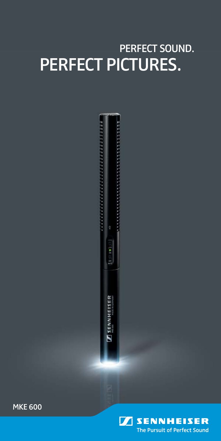## Perfect Sound. Perfect Pictures.



MKE 600

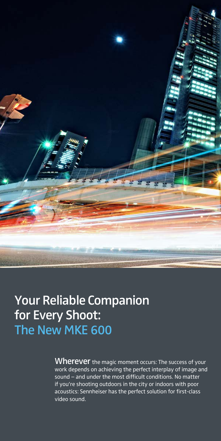

### Your Reliable Companion for Every Shoot: The New MKE 600

Wherever the magic moment occurs: The success of your work depends on achieving the perfect interplay of image and sound – and under the most difficult conditions. No matter if you're shooting outdoors in the city or indoors with poor acoustics: Sennheiser has the perfect solution for first-class video sound.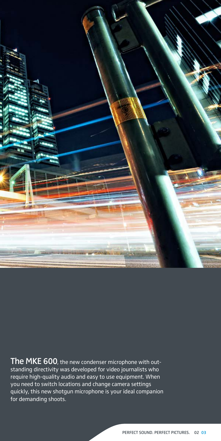

The MKE 600, the new condenser microphone with outstanding directivity was developed for video journalists who require high-quality audio and easy to use equipment. When you need to switch locations and change camera settings quickly, this new shotgun microphone is your ideal companion for demanding shoots.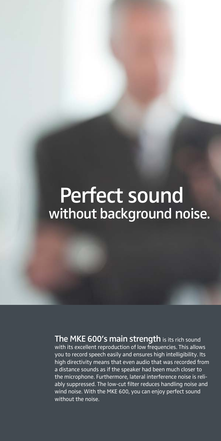# without background noise. Perfect sound

The MKE 600's main strength is its rich sound with its excellent reproduction of low frequencies. This allows you to record speech easily and ensures high intelligibility. Its high directivity means that even audio that was recorded from a distance sounds as if the speaker had been much closer to the microphone. Furthermore, lateral interference noise is reliably suppressed. The low-cut filter reduces handling noise and wind noise. With the MKE 600, you can enjoy perfect sound without the noise.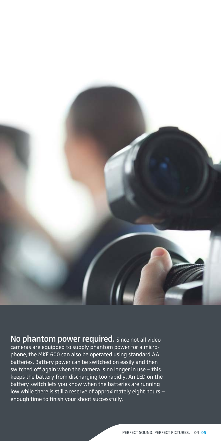

No phantom power required. Since not all video cameras are equipped to supply phantom power for a microphone, the MKE 600 can also be operated using standard AA batteries. Battery power can be switched on easily and then switched off again when the camera is no longer in use – this keeps the battery from discharging too rapidly. An LED on the battery switch lets you know when the batteries are running low while there is still a reserve of approximately eight hours – enough time to finish your shoot successfully.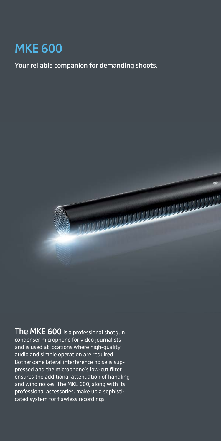### MKE 600

Your reliable companion for demanding shoots.



The MKE 600 is a professional shotgun condenser microphone for video journalists and is used at locations where high-quality audio and simple operation are required. Bothersome lateral interference noise is suppressed and the microphone's low-cut filter ensures the additional attenuation of handling and wind noises. The MKE 600, along with its professional accessories, make up a sophisticated system for flawless recordings.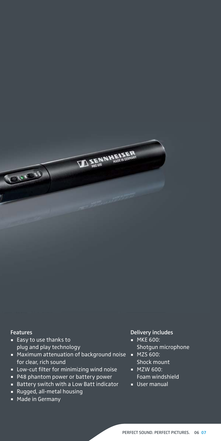#### Features

**COLOR** 

- Easy to use thanks to plug and play technology
- Maximum attenuation of background noise for clear, rich sound

**TO SENNINERS** 

- Low-cut filter for minimizing wind noise
- P48 phantom power or battery power
- Battery switch with a Low Batt indicator
- Rugged, all-metal housing
- **Made in Germany**

#### Delivery includes

- **MKE 600:** Shotgun microphone
- **MZS 600:** Shock mount
- **MZW 600:** Foam windshield
- **User manual**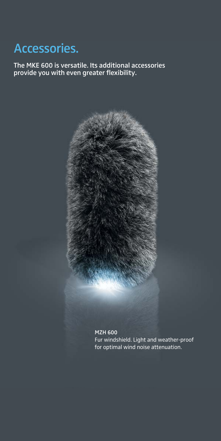## Accessories.

The MKE 600 is versatile. Its additional accessories provide you with even greater flexibility.



MZH 600 Fur windshield. Light and weather-proof for optimal wind noise attenuation.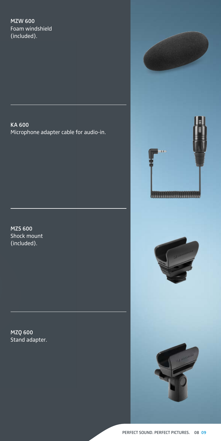#### MZW 600 Foam windshield (included).

KA 600 Microphone adapter cable for audio-in.

MZS 600 Shock mount (included).

MZQ 600 Stand adapter.

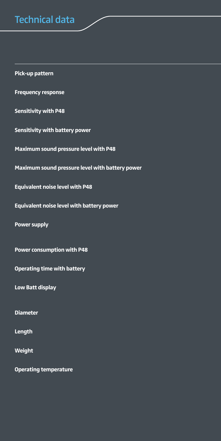### Technical data

**Pick-up pattern Frequency response Sensitivity with P48 Sensitivity with battery power Maximum sound pressure level with P48 Maximum sound pressure level with battery power Equivalent noise level with P48 Equivalent noise level with battery power Power supply Power consumption with P48 Operating time with battery Low Batt display Diameter** 20 mm **Length** 256 mm **Weight** 128 g (without battery) **Operating temperature**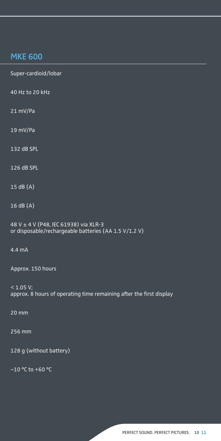### MKE 600

**Pick-up pattern** Super-cardioid/lobar **Frequency response** 40 Hz to 20 kHz **Sensitivity with P48** 21 mV/Pa **Sensitivity with battery power** 19 mV/Pa **Maximum sound pressure level with P48** 132 dB SPL **Maximum sound pressure level with battery power** 126 dB SPL **Equivalent noise level with P48** 15 dB (A) **Equivalent noise level with battery power** 16 dB (A) **Power supply** 48 V ± 4 V (P48, IEC 61938) via XLR-3 or disposable/rechargeable batteries (AA 1.5 V/1.2 V) **Power consumption with P48** 4.4 mA Approx. 150 hours  $< 1.05 V;$ approx. 8 hours of operating time remaining after the first display **Diameter** 20 mm **Length** 256 mm 128 g (without battery) **-10 °C to +60 °C**